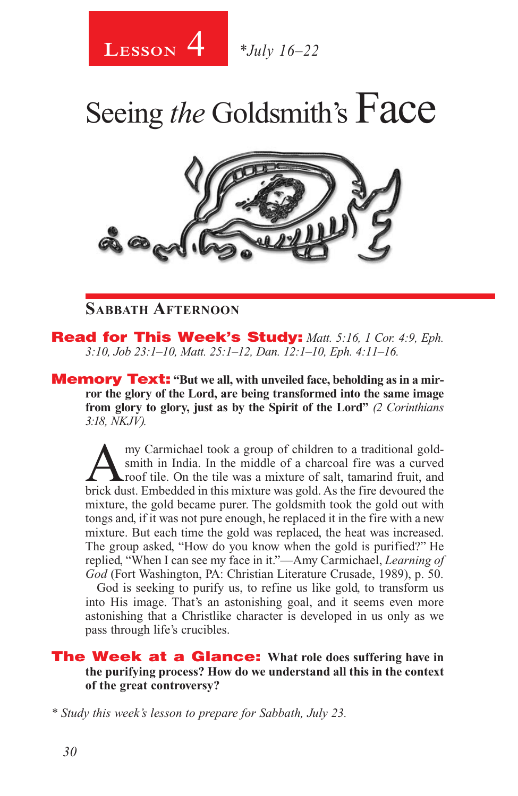

# Seeing *the* Goldsmith's Face



#### **Sabbath Afternoon**

Read for This Week's Study: *Matt. 5:16, 1 Cor. 4:9, Eph. 3:10, Job 23:1–10, Matt. 25:1–12, Dan. 12:1–10, Eph. 4:11–16.*

**Memory Text:** "But we all, with unveiled face, beholding as in a mir**ror the glory of the Lord, are being transformed into the same image from glory to glory, just as by the Spirit of the Lord"** *(2 Corinthians 3:18, NKJV).* 

Amy Carmichael took a group of children to a traditional gold-<br>smith in India. In the middle of a charcoal fire was a curved<br>roof tile. On the tile was a mixture of salt, tamarind fruit, and<br>high dust. Emhadded in this mix smith in India. In the middle of a charcoal fire was a curved roof tile. On the tile was a mixture of salt, tamarind fruit, and brick dust. Embedded in this mixture was gold. As the fire devoured the mixture, the gold became purer. The goldsmith took the gold out with tongs and, if it was not pure enough, he replaced it in the fire with a new mixture. But each time the gold was replaced, the heat was increased. The group asked, "How do you know when the gold is purified?" He replied, "When I can see my face in it."—Amy Carmichael, *Learning of God* (Fort Washington, PA: Christian Literature Crusade, 1989), p. 50.

God is seeking to purify us, to refine us like gold, to transform us into His image. That's an astonishing goal, and it seems even more astonishing that a Christlike character is developed in us only as we pass through life's crucibles.

#### The Week at a Glance: **What role does suffering have in the purifying process? How do we understand all this in the context of the great controversy?**

*\* Study this week's lesson to prepare for Sabbath, July 23.*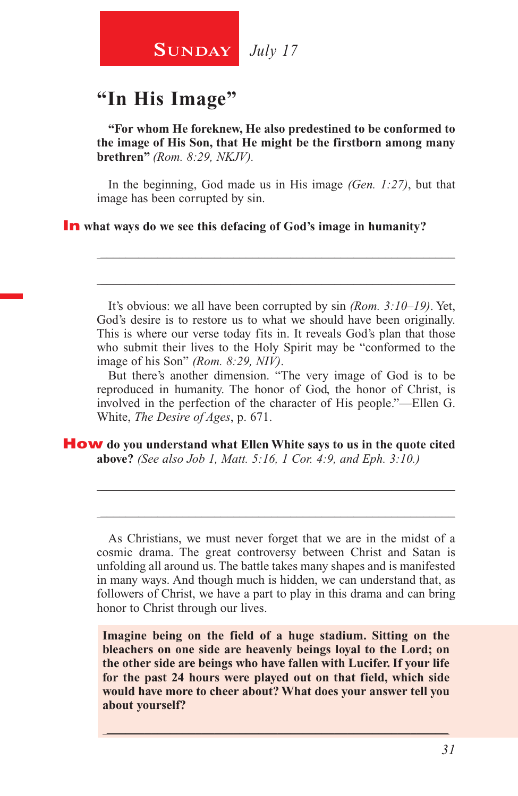## **SUNDAY** July 17

#### **"In His Image"**

**"For whom He foreknew, He also predestined to be conformed to the image of His Son, that He might be the firstborn among many brethren"** *(Rom. 8:29, NKJV).*

In the beginning, God made us in His image *(Gen. 1:27)*, but that image has been corrupted by sin.

\_\_\_\_\_\_\_\_\_\_\_\_\_\_\_\_\_\_\_\_\_\_\_\_\_\_\_\_\_\_\_\_\_\_\_\_\_\_\_\_\_\_\_\_\_\_\_\_\_\_\_\_\_\_\_\_

\_\_\_\_\_\_\_\_\_\_\_\_\_\_\_\_\_\_\_\_\_\_\_\_\_\_\_\_\_\_\_\_\_\_\_\_\_\_\_\_\_\_\_\_\_\_\_\_\_\_\_\_\_\_\_\_

#### In **what ways do we see this defacing of God's image in humanity?**

It's obvious: we all have been corrupted by sin *(Rom. 3:10–19)*. Yet, God's desire is to restore us to what we should have been originally. This is where our verse today fits in. It reveals God's plan that those who submit their lives to the Holy Spirit may be "conformed to the image of his Son" *(Rom. 8:29, NIV)*.

But there's another dimension. "The very image of God is to be reproduced in humanity. The honor of God, the honor of Christ, is involved in the perfection of the character of His people."—Ellen G. White, *The Desire of Ages*, p. 671.

How **do you understand what Ellen White says to us in the quote cited above?** *(See also Job 1, Matt. 5:16, 1 Cor. 4:9, and Eph. 3:10.)* 

As Christians, we must never forget that we are in the midst of a cosmic drama. The great controversy between Christ and Satan is unfolding all around us. The battle takes many shapes and is manifested in many ways. And though much is hidden, we can understand that, as followers of Christ, we have a part to play in this drama and can bring honor to Christ through our lives.

\_\_\_\_\_\_\_\_\_\_\_\_\_\_\_\_\_\_\_\_\_\_\_\_\_\_\_\_\_\_\_\_\_\_\_\_\_\_\_\_\_\_\_\_\_\_\_\_\_\_\_\_\_\_\_\_

\_\_\_\_\_\_\_\_\_\_\_\_\_\_\_\_\_\_\_\_\_\_\_\_\_\_\_\_\_\_\_\_\_\_\_\_\_\_\_\_\_\_\_\_\_\_\_\_\_\_\_\_\_\_\_\_

**Imagine being on the field of a huge stadium. Sitting on the bleachers on one side are heavenly beings loyal to the Lord; on the other side are beings who have fallen with Lucifer. If your life for the past 24 hours were played out on that field, which side would have more to cheer about? What does your answer tell you about yourself?**

\_\_\_\_\_\_\_\_\_\_\_\_\_\_\_\_\_\_\_\_\_\_\_\_\_\_\_\_\_\_\_\_\_\_\_\_\_\_\_\_\_\_\_\_\_\_\_\_\_\_\_\_\_\_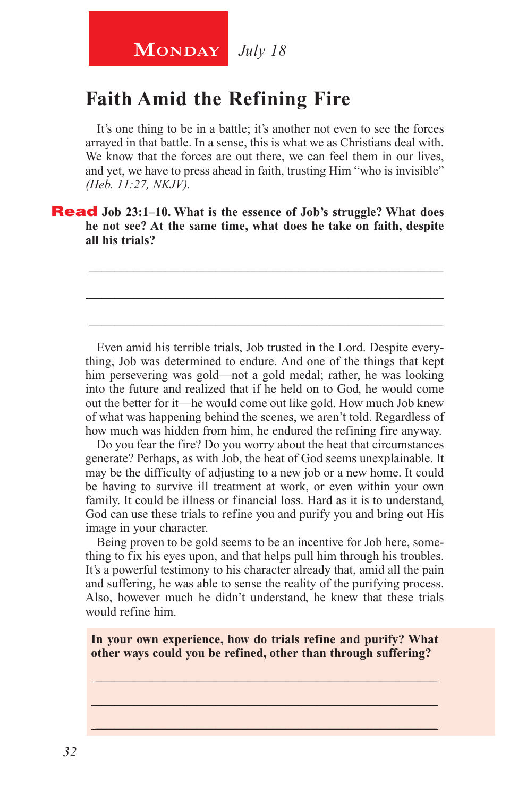## **MONDAY** July 18

# **Faith Amid the Refining Fire**

It's one thing to be in a battle; it's another not even to see the forces arrayed in that battle. In a sense, this is what we as Christians deal with. We know that the forces are out there, we can feel them in our lives, and yet, we have to press ahead in faith, trusting Him "who is invisible" *(Heb. 11:27, NKJV).*

\_\_\_\_\_\_\_\_\_\_\_\_\_\_\_\_\_\_\_\_\_\_\_\_\_\_\_\_\_\_\_\_\_\_\_\_\_\_\_\_\_\_\_\_\_\_\_\_\_\_\_\_\_\_\_\_

\_\_\_\_\_\_\_\_\_\_\_\_\_\_\_\_\_\_\_\_\_\_\_\_\_\_\_\_\_\_\_\_\_\_\_\_\_\_\_\_\_\_\_\_\_\_\_\_\_\_\_\_\_\_\_\_

\_\_\_\_\_\_\_\_\_\_\_\_\_\_\_\_\_\_\_\_\_\_\_\_\_\_\_\_\_\_\_\_\_\_\_\_\_\_\_\_\_\_\_\_\_\_\_\_\_\_\_\_\_\_\_\_

Read **Job 23:1–10. What is the essence of Job's struggle? What does he not see? At the same time, what does he take on faith, despite all his trials?**

Even amid his terrible trials, Job trusted in the Lord. Despite everything, Job was determined to endure. And one of the things that kept him persevering was gold—not a gold medal; rather, he was looking into the future and realized that if he held on to God, he would come out the better for it—he would come out like gold. How much Job knew of what was happening behind the scenes, we aren't told. Regardless of how much was hidden from him, he endured the refining fire anyway.

Do you fear the fire? Do you worry about the heat that circumstances generate? Perhaps, as with Job, the heat of God seems unexplainable. It may be the difficulty of adjusting to a new job or a new home. It could be having to survive ill treatment at work, or even within your own family. It could be illness or financial loss. Hard as it is to understand, God can use these trials to refine you and purify you and bring out His image in your character.

Being proven to be gold seems to be an incentive for Job here, something to fix his eyes upon, and that helps pull him through his troubles. It's a powerful testimony to his character already that, amid all the pain and suffering, he was able to sense the reality of the purifying process. Also, however much he didn't understand, he knew that these trials would refine him.

**In your own experience, how do trials refine and purify? What other ways could you be refined, other than through suffering?** 

\_\_\_\_\_\_\_\_\_\_\_\_\_\_\_\_\_\_\_\_\_\_\_\_\_\_\_\_\_\_\_\_\_\_\_\_\_\_\_\_\_\_\_\_\_\_\_\_\_\_\_\_\_\_ \_\_\_\_\_\_\_\_\_\_\_\_\_\_\_\_\_\_\_\_\_\_\_\_\_\_\_\_\_\_\_\_\_\_\_\_\_\_\_\_\_\_\_\_\_\_\_\_\_\_\_\_\_\_ \_\_\_\_\_\_\_\_\_\_\_\_\_\_\_\_\_\_\_\_\_\_\_\_\_\_\_\_\_\_\_\_\_\_\_\_\_\_\_\_\_\_\_\_\_\_\_\_\_\_\_\_\_\_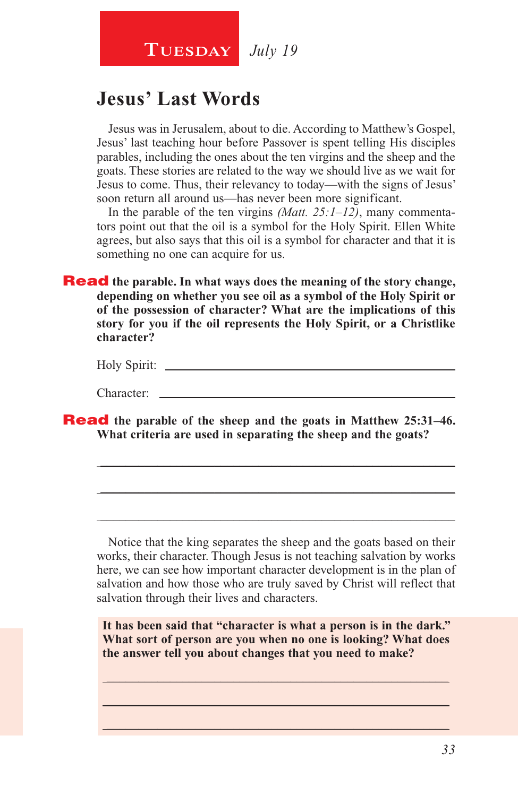*July 19* **Tuesday**

#### **Jesus' Last Words**

Jesus was in Jerusalem, about to die. According to Matthew's Gospel, Jesus' last teaching hour before Passover is spent telling His disciples parables, including the ones about the ten virgins and the sheep and the goats. These stories are related to the way we should live as we wait for Jesus to come. Thus, their relevancy to today—with the signs of Jesus' soon return all around us—has never been more significant.

In the parable of the ten virgins *(Matt. 25:1–12)*, many commentators point out that the oil is a symbol for the Holy Spirit. Ellen White agrees, but also says that this oil is a symbol for character and that it is something no one can acquire for us.

**Read** the parable. In what ways does the meaning of the story change, **depending on whether you see oil as a symbol of the Holy Spirit or of the possession of character? What are the implications of this story for you if the oil represents the Holy Spirit, or a Christlike character?**

| Holy Spirit: |  |
|--------------|--|
|              |  |

\_\_\_\_\_\_\_\_\_\_\_\_\_\_\_\_\_\_\_\_\_\_\_\_\_\_\_\_\_\_\_\_\_\_\_\_\_\_\_\_\_\_\_\_\_\_\_\_\_\_\_\_\_\_\_\_

\_\_\_\_\_\_\_\_\_\_\_\_\_\_\_\_\_\_\_\_\_\_\_\_\_\_\_\_\_\_\_\_\_\_\_\_\_\_\_\_\_\_\_\_\_\_\_\_\_\_\_\_\_\_\_\_

\_\_\_\_\_\_\_\_\_\_\_\_\_\_\_\_\_\_\_\_\_\_\_\_\_\_\_\_\_\_\_\_\_\_\_\_\_\_\_\_\_\_\_\_\_\_\_\_\_\_\_\_\_\_\_\_

Character:

Read **the parable of the sheep and the goats in Matthew 25:31–46. What criteria are used in separating the sheep and the goats?**

Notice that the king separates the sheep and the goats based on their works, their character. Though Jesus is not teaching salvation by works here, we can see how important character development is in the plan of salvation and how those who are truly saved by Christ will reflect that salvation through their lives and characters.

**It has been said that "character is what a person is in the dark." What sort of person are you when no one is looking? What does the answer tell you about changes that you need to make?**

\_\_\_\_\_\_\_\_\_\_\_\_\_\_\_\_\_\_\_\_\_\_\_\_\_\_\_\_\_\_\_\_\_\_\_\_\_\_\_\_\_\_\_\_\_\_\_\_\_\_\_\_\_\_ \_\_\_\_\_\_\_\_\_\_\_\_\_\_\_\_\_\_\_\_\_\_\_\_\_\_\_\_\_\_\_\_\_\_\_\_\_\_\_\_\_\_\_\_\_\_\_\_\_\_\_\_\_\_  $\_$  , and the set of the set of the set of the set of the set of the set of the set of the set of the set of the set of the set of the set of the set of the set of the set of the set of the set of the set of the set of th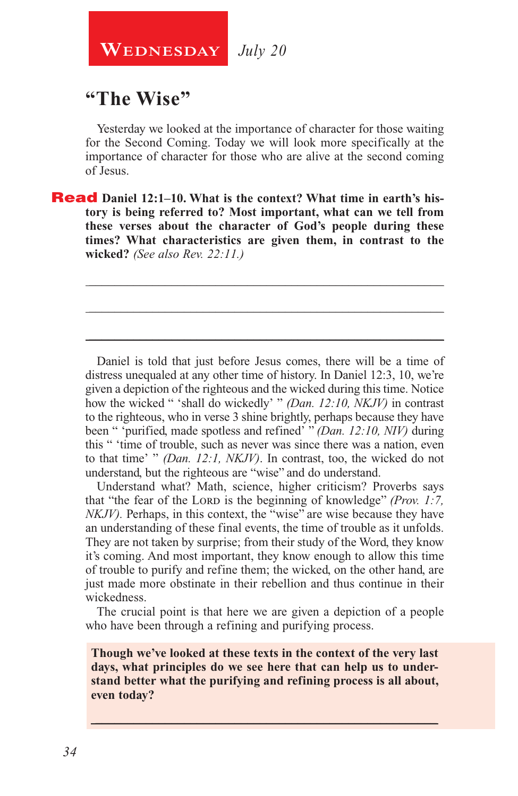**WEDNESDAY** July 20

#### **"The Wise"**

Yesterday we looked at the importance of character for those waiting for the Second Coming. Today we will look more specifically at the importance of character for those who are alive at the second coming of Jesus.

\_\_\_\_\_\_\_\_\_\_\_\_\_\_\_\_\_\_\_\_\_\_\_\_\_\_\_\_\_\_\_\_\_\_\_\_\_\_\_\_\_\_\_\_\_\_\_\_\_\_\_\_\_\_\_\_

\_\_\_\_\_\_\_\_\_\_\_\_\_\_\_\_\_\_\_\_\_\_\_\_\_\_\_\_\_\_\_\_\_\_\_\_\_\_\_\_\_\_\_\_\_\_\_\_\_\_\_\_\_\_\_\_

\_\_\_\_\_\_\_\_\_\_\_\_\_\_\_\_\_\_\_\_\_\_\_\_\_\_\_\_\_\_\_\_\_\_\_\_\_\_\_\_\_\_\_\_\_\_\_\_\_\_\_\_\_\_\_\_

**Read** Daniel 12:1–10. What is the context? What time in earth's his**tory is being referred to? Most important, what can we tell from these verses about the character of God's people during these times? What characteristics are given them, in contrast to the wicked?** *(See also Rev. 22:11.)*

Daniel is told that just before Jesus comes, there will be a time of distress unequaled at any other time of history. In Daniel 12:3, 10, we're given a depiction of the righteous and the wicked during this time. Notice how the wicked " 'shall do wickedly' " *(Dan. 12:10, NKJV)* in contrast to the righteous, who in verse 3 shine brightly, perhaps because they have been " 'purified, made spotless and refined' " *(Dan. 12:10, NIV)* during this " 'time of trouble, such as never was since there was a nation, even to that time' " *(Dan. 12:1, NKJV)*. In contrast, too, the wicked do not understand, but the righteous are "wise" and do understand.

Understand what? Math, science, higher criticism? Proverbs says that "the fear of the LORD is the beginning of knowledge" *(Prov. 1:7, the team of the LORD is the beginning of knowledge*" *(Prov. 1:7, the team of the LORD is the beginning of knowledge*" *(Prov. 1:7, the team of the LO NKJV*). Perhaps, in this context, the "wise" are wise because they have an understanding of these final events, the time of trouble as it unfolds. They are not taken by surprise; from their study of the Word, they know it's coming. And most important, they know enough to allow this time of trouble to purify and refine them; the wicked, on the other hand, are just made more obstinate in their rebellion and thus continue in their wickedness.

The crucial point is that here we are given a depiction of a people who have been through a refining and purifying process.

**Though we've looked at these texts in the context of the very last days, what principles do we see here that can help us to understand better what the purifying and refining process is all about, even today?**

\_\_\_\_\_\_\_\_\_\_\_\_\_\_\_\_\_\_\_\_\_\_\_\_\_\_\_\_\_\_\_\_\_\_\_\_\_\_\_\_\_\_\_\_\_\_\_\_\_\_\_\_\_\_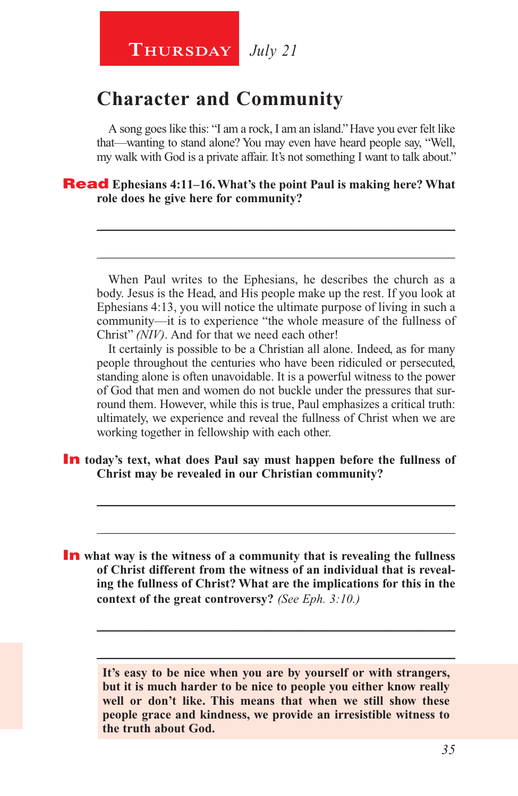#### **Character and Community**

A song goes like this: "I am a rock, I am an island." Have you ever felt like that—wanting to stand alone? You may even have heard people say, "Well, my walk with God is a private affair. It's not something I want to talk about."

\_\_\_\_\_\_\_\_\_\_\_\_\_\_\_\_\_\_\_\_\_\_\_\_\_\_\_\_\_\_\_\_\_\_\_\_\_\_\_\_\_\_\_\_\_\_\_\_\_\_\_\_\_\_\_\_

\_\_\_\_\_\_\_\_\_\_\_\_\_\_\_\_\_\_\_\_\_\_\_\_\_\_\_\_\_\_\_\_\_\_\_\_\_\_\_\_\_\_\_\_\_\_\_\_\_\_\_\_\_\_\_\_

#### Read **Ephesians 4:11–16. What's the point Paul is making here? What role does he give here for community?**

When Paul writes to the Ephesians, he describes the church as a body. Jesus is the Head, and His people make up the rest. If you look at Ephesians 4:13, you will notice the ultimate purpose of living in such a community—it is to experience "the whole measure of the fullness of Christ" *(NIV)*. And for that we need each other!

It certainly is possible to be a Christian all alone. Indeed, as for many people throughout the centuries who have been ridiculed or persecuted, standing alone is often unavoidable. It is a powerful witness to the power of God that men and women do not buckle under the pressures that surround them. However, while this is true, Paul emphasizes a critical truth: ultimately, we experience and reveal the fullness of Christ when we are working together in fellowship with each other.

\_\_\_\_\_\_\_\_\_\_\_\_\_\_\_\_\_\_\_\_\_\_\_\_\_\_\_\_\_\_\_\_\_\_\_\_\_\_\_\_\_\_\_\_\_\_\_\_\_\_\_\_\_\_\_\_

\_\_\_\_\_\_\_\_\_\_\_\_\_\_\_\_\_\_\_\_\_\_\_\_\_\_\_\_\_\_\_\_\_\_\_\_\_\_\_\_\_\_\_\_\_\_\_\_\_\_\_\_\_\_\_\_

In **today's text, what does Paul say must happen before the fullness of Christ may be revealed in our Christian community?**

**In** what way is the witness of a community that is revealing the fullness **of Christ different from the witness of an individual that is revealing the fullness of Christ? What are the implications for this in the context of the great controversy?** *(See Eph. 3:10.)*

> **It's easy to be nice when you are by yourself or with strangers, but it is much harder to be nice to people you either know really well or don't like. This means that when we still show these people grace and kindness, we provide an irresistible witness to the truth about God.**

> \_\_\_\_\_\_\_\_\_\_\_\_\_\_\_\_\_\_\_\_\_\_\_\_\_\_\_\_\_\_\_\_\_\_\_\_\_\_\_\_\_\_\_\_\_\_\_\_\_\_\_\_\_\_\_\_

\_\_\_\_\_\_\_\_\_\_\_\_\_\_\_\_\_\_\_\_\_\_\_\_\_\_\_\_\_\_\_\_\_\_\_\_\_\_\_\_\_\_\_\_\_\_\_\_\_\_\_\_\_\_\_\_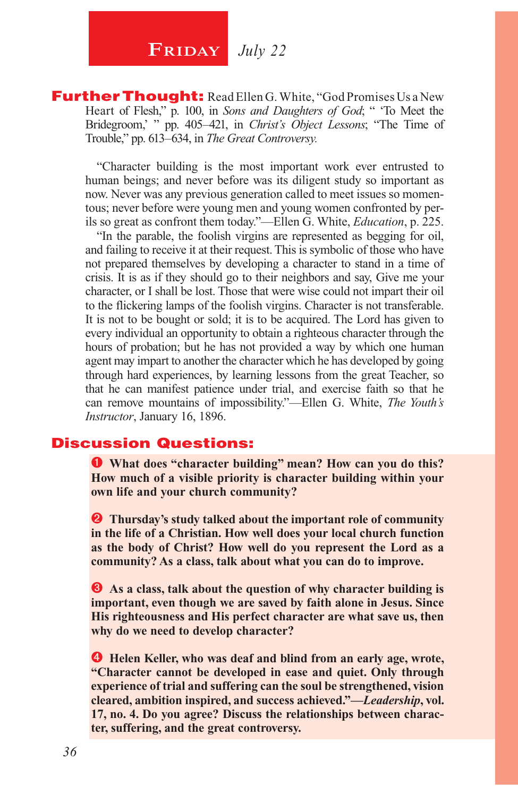## **FRIDAY** July 22

**Further Thought:** Read Ellen G. White, "God Promises Us a New Heart of Flesh," p. 100, in *Sons and Daughters of God*; " To Meet the Bridegroom,' " pp. 405–421, in *Christ's Object Lessons*; "The Time of Trouble," pp. 613–634, in *The Great Controversy.* 

"Character building is the most important work ever entrusted to human beings; and never before was its diligent study so important as now. Never was any previous generation called to meet issues so momentous; never before were young men and young women confronted by perils so great as confront them today."—Ellen G. White, *Education*, p. 225.

"In the parable, the foolish virgins are represented as begging for oil, and failing to receive it at their request. This is symbolic of those who have not prepared themselves by developing a character to stand in a time of crisis. It is as if they should go to their neighbors and say, Give me your character, or I shall be lost. Those that were wise could not impart their oil to the flickering lamps of the foolish virgins. Character is not transferable. It is not to be bought or sold; it is to be acquired. The Lord has given to every individual an opportunity to obtain a righteous character through the hours of probation; but he has not provided a way by which one human agent may impart to another the character which he has developed by going through hard experiences, by learning lessons from the great Teacher, so that he can manifest patience under trial, and exercise faith so that he can remove mountains of impossibility."—Ellen G. White, *The Youth's Instructor*, January 16, 1896.

#### Discussion Questions:

 **What does "character building" mean? How can you do this? How much of a visible priority is character building within your own life and your church community?**

**2** Thursday's study talked about the important role of community **in the life of a Christian. How well does your local church function as the body of Christ? How well do you represent the Lord as a community? As a class, talk about what you can do to improve.**

 $\bullet$  As a class, talk about the question of why character building is **important, even though we are saved by faith alone in Jesus. Since His righteousness and His perfect character are what save us, then why do we need to develop character?**

**Helen Keller, who was deaf and blind from an early age, wrote, "Character cannot be developed in ease and quiet. Only through experience of trial and suffering can the soul be strengthened, vision cleared, ambition inspired, and success achieved."—***Leadership***, vol. 17, no. 4. Do you agree? Discuss the relationships between character, suffering, and the great controversy.**